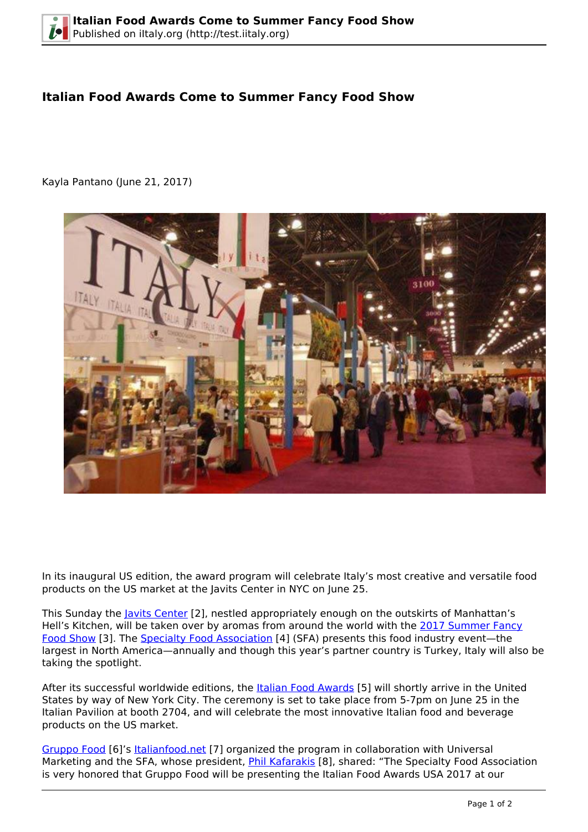## **Italian Food Awards Come to Summer Fancy Food Show**

Kayla Pantano (June 21, 2017)



In its inaugural US edition, the award program will celebrate Italy's most creative and versatile food products on the US market at the Javits Center in NYC on June 25.

This Sunday the *Javits Center* [2], nestled appropriately enough on the outskirts of Manhattan's Hell's Kitchen, will be taken over by aromas from around the world with the [2017 Summer Fancy](https://www.specialtyfood.com/shows-events/summer-fancy-food-show/) [Food Show](https://www.specialtyfood.com/shows-events/summer-fancy-food-show/) [3]. The [Specialty Food Association](https://www.specialtyfood.com/) [4] (SFA) presents this food industry event—the largest in North America—annually and though this year's partner country is Turkey, Italy will also be taking the spotlight.

After its successful worldwide editions, the [Italian Food Awards](https://www.specialtyfood.com › News) [5] will shortly arrive in the United States by way of New York City. The ceremony is set to take place from 5-7pm on June 25 in the Italian Pavilion at booth 2704, and will celebrate the most innovative Italian food and beverage products on the US market.

[Gruppo Food](https://www.gruppofood.com/en/) [6]'s [Italianfood.net](https://www.italianfood.net/) [7] organized the program in collaboration with Universal Marketing and the SFA, whose president, *[Phil Kafarakis](http://www.specialtyfoodfoundation.org/staff/phil-kafarakis/)* [8], shared: "The Specialty Food Association is very honored that Gruppo Food will be presenting the Italian Food Awards USA 2017 at our